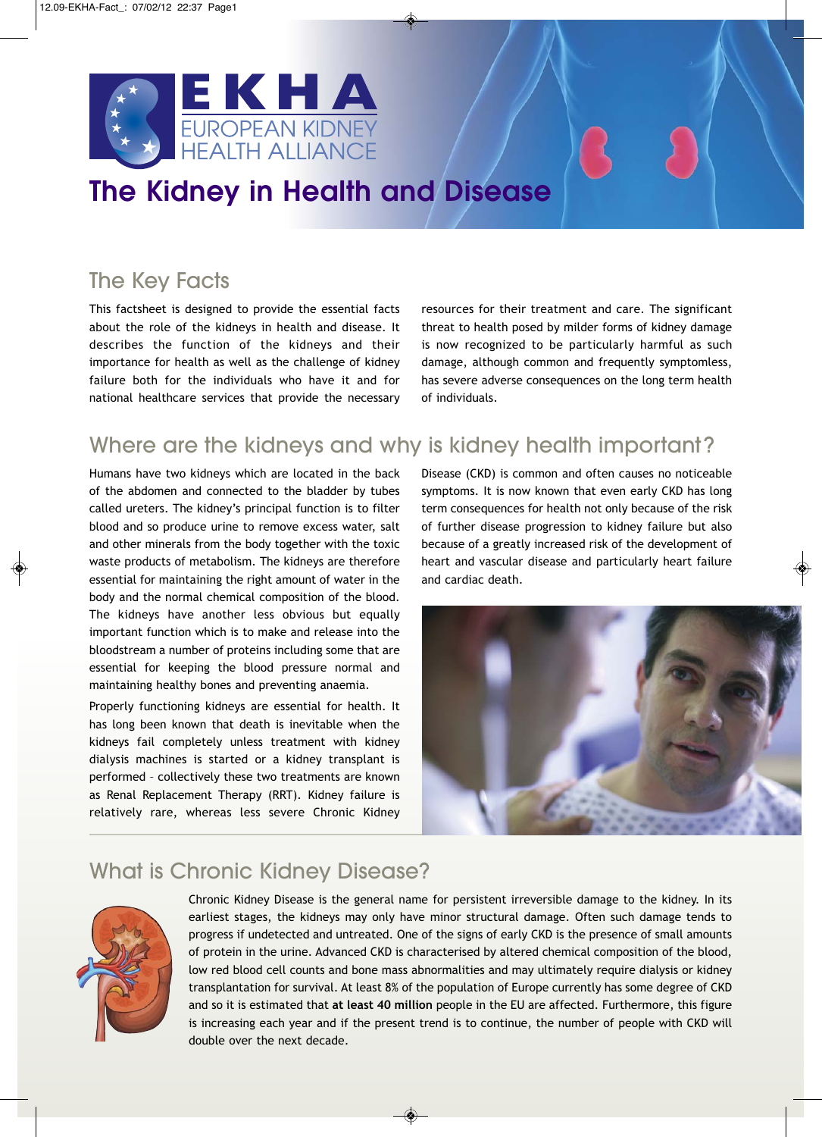

**The Kidney in Health and Disease**

# The Key Facts

This factsheet is designed to provide the essential facts about the role of the kidneys in health and disease. It describes the function of the kidneys and their importance for health as well as the challenge of kidney failure both for the individuals who have it and for national healthcare services that provide the necessary

resources for their treatment and care. The significant threat to health posed by milder forms of kidney damage is now recognized to be particularly harmful as such damage, although common and frequently symptomless, has severe adverse consequences on the long term health of individuals.

### Where are the kidneys and why is kidney health important?

Humans have two kidneys which are located in the back of the abdomen and connected to the bladder by tubes called ureters. The kidney's principal function is to filter blood and so produce urine to remove excess water, salt and other minerals from the body together with the toxic waste products of metabolism. The kidneys are therefore essential for maintaining the right amount of water in the body and the normal chemical composition of the blood. The kidneys have another less obvious but equally important function which is to make and release into the bloodstream a number of proteins including some that are essential for keeping the blood pressure normal and maintaining healthy bones and preventing anaemia.

Properly functioning kidneys are essential for health. It has long been known that death is inevitable when the kidneys fail completely unless treatment with kidney dialysis machines is started or a kidney transplant is performed – collectively these two treatments are known as Renal Replacement Therapy (RRT). Kidney failure is relatively rare, whereas less severe Chronic Kidney

Disease (CKD) is common and often causes no noticeable symptoms. It is now known that even early CKD has long term consequences for health not only because of the risk of further disease progression to kidney failure but also because of a greatly increased risk of the development of heart and vascular disease and particularly heart failure and cardiac death.



## What is Chronic Kidney Disease?



Chronic Kidney Disease is the general name for persistent irreversible damage to the kidney. In its earliest stages, the kidneys may only have minor structural damage. Often such damage tends to progress if undetected and untreated. One of the signs of early CKD is the presence of small amounts of protein in the urine. Advanced CKD is characterised by altered chemical composition of the blood, low red blood cell counts and bone mass abnormalities and may ultimately require dialysis or kidney transplantation for survival. At least 8% of the population of Europe currently has some degree of CKD and so it is estimated that **at least 40 million** people in the EU are affected. Furthermore, this figure is increasing each year and if the present trend is to continue, the number of people with CKD will double over the next decade.